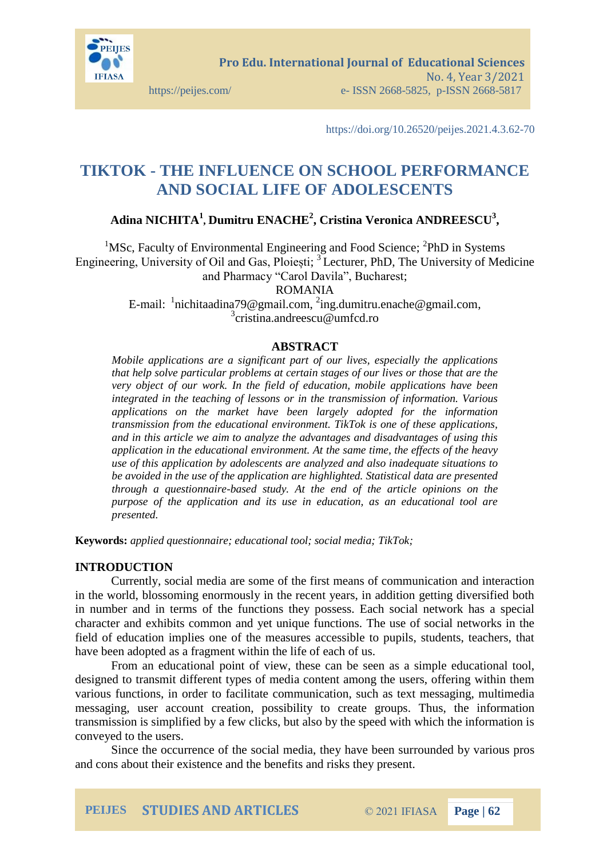

https://doi.org/10.26520/peijes.2021.4.3.62-70

# **TIKTOK - THE INFLUENCE ON SCHOOL PERFORMANCE AND SOCIAL LIFE OF ADOLESCENTS**

# **Adina NICHITA<sup>1</sup> , Dumitru ENACHE<sup>2</sup> , Cristina Veronica ANDREESCU<sup>3</sup> ,**

<sup>1</sup>MSc, Faculty of Environmental Engineering and Food Science; <sup>2</sup>PhD in Systems Engineering, University of Oil and Gas, Ploiești; <sup>3</sup>Lecturer, PhD, The University of Medicine and Pharmacy "Carol Davila", Bucharest;

ROMANIA

E-mail:  $\frac{1}{2}$ [nichitaadina79@gmail.com,](mailto:nichitaadina79@gmail.com)  $\frac{2}{2}$ [ing.dumitru.enache@gmail.com,](mailto:ing.dumitru.enache@gmail.com) 3 [cristina.andreescu@umfcd.ro](mailto:cristina.andreescu@umfcd.ro)

# **ABSTRACT**

*Mobile applications are a significant part of our lives, especially the applications that help solve particular problems at certain stages of our lives or those that are the very object of our work. In the field of education, mobile applications have been integrated in the teaching of lessons or in the transmission of information. Various applications on the market have been largely adopted for the information transmission from the educational environment. TikTok is one of these applications, and in this article we aim to analyze the advantages and disadvantages of using this application in the educational environment. At the same time, the effects of the heavy use of this application by adolescents are analyzed and also inadequate situations to be avoided in the use of the application are highlighted. Statistical data are presented through a questionnaire-based study. At the end of the article opinions on the purpose of the application and its use in education, as an educational tool are presented.*

**Keywords:** *applied questionnaire; educational tool; social media; TikTok;*

# **INTRODUCTION**

Currently, social media are some of the first means of communication and interaction in the world, blossoming enormously in the recent years, in addition getting diversified both in number and in terms of the functions they possess. Each social network has a special character and exhibits common and yet unique functions. The use of social networks in the field of education implies one of the measures accessible to pupils, students, teachers, that have been adopted as a fragment within the life of each of us.

From an educational point of view, these can be seen as a simple educational tool, designed to transmit different types of media content among the users, offering within them various functions, in order to facilitate communication, such as text messaging, multimedia messaging, user account creation, possibility to create groups. Thus, the information transmission is simplified by a few clicks, but also by the speed with which the information is conveyed to the users.

Since the occurrence of the social media, they have been surrounded by various pros and cons about their existence and the benefits and risks they present.

**PEIJES STUDIES AND ARTICLES** © 2021 IFIASA **Page | 62**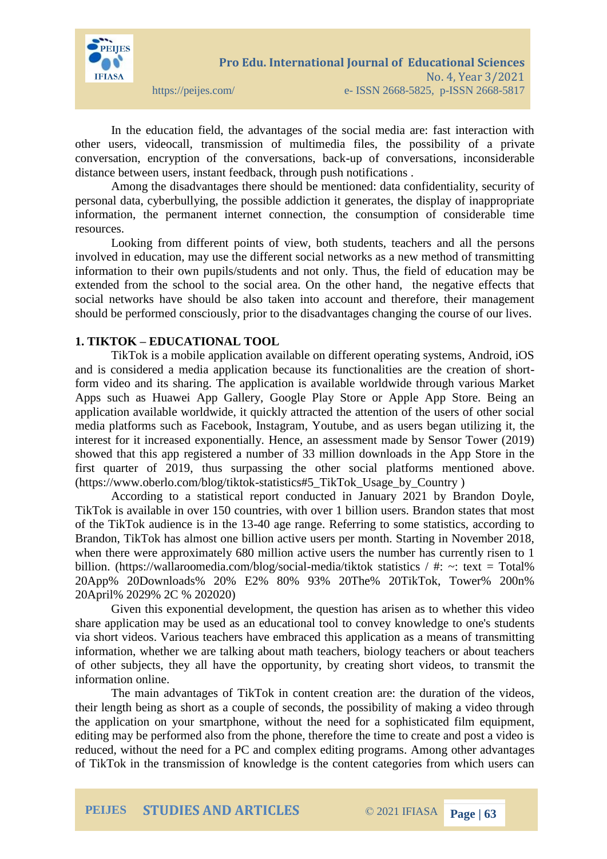

In the education field, the advantages of the social media are: fast interaction with other users, videocall, transmission of multimedia files, the possibility of a private conversation, encryption of the conversations, back-up of conversations, inconsiderable distance between users, instant feedback, through push notifications .

Among the disadvantages there should be mentioned: data confidentiality, security of personal data, cyberbullying, the possible addiction it generates, the display of inappropriate information, the permanent internet connection, the consumption of considerable time resources.

Looking from different points of view, both students, teachers and all the persons involved in education, may use the different social networks as a new method of transmitting information to their own pupils/students and not only. Thus, the field of education may be extended from the school to the social area. On the other hand, the negative effects that social networks have should be also taken into account and therefore, their management should be performed consciously, prior to the disadvantages changing the course of our lives.

# **1. TIKTOK – EDUCATIONAL TOOL**

TikTok is a mobile application available on different operating systems, Android, iOS and is considered a media application because its functionalities are the creation of shortform video and its sharing. The application is available worldwide through various Market Apps such as Huawei App Gallery, Google Play Store or Apple App Store. Being an application available worldwide, it quickly attracted the attention of the users of other social media platforms such as Facebook, Instagram, Youtube, and as users began utilizing it, the interest for it increased exponentially. Hence, an assessment made by Sensor Tower (2019) showed that this app registered a number of 33 million downloads in the App Store in the first quarter of 2019, thus surpassing the other social platforms mentioned above. (https://www.oberlo.com/blog/tiktok-statistics#5\_TikTok\_Usage\_by\_Country )

According to a statistical report conducted in January 2021 by Brandon Doyle, TikTok is available in over 150 countries, with over 1 billion users. Brandon states that most of the TikTok audience is in the 13-40 age range. Referring to some statistics, according to Brandon, TikTok has almost one billion active users per month. Starting in November 2018, when there were approximately 680 million active users the number has currently risen to 1 billion. (https://wallaroomedia.com/blog/social-media/tiktok statistics / #:  $\sim$ : text = Total% 20App% 20Downloads% 20% E2% 80% 93% 20The% 20TikTok, Tower% 200n% 20April% 2029% 2C % 202020)

Given this exponential development, the question has arisen as to whether this video share application may be used as an educational tool to convey knowledge to one's students via short videos. Various teachers have embraced this application as a means of transmitting information, whether we are talking about math teachers, biology teachers or about teachers of other subjects, they all have the opportunity, by creating short videos, to transmit the information online.

The main advantages of TikTok in content creation are: the duration of the videos, their length being as short as a couple of seconds, the possibility of making a video through the application on your smartphone, without the need for a sophisticated film equipment, editing may be performed also from the phone, therefore the time to create and post a video is reduced, without the need for a PC and complex editing programs. Among other advantages of TikTok in the transmission of knowledge is the content categories from which users can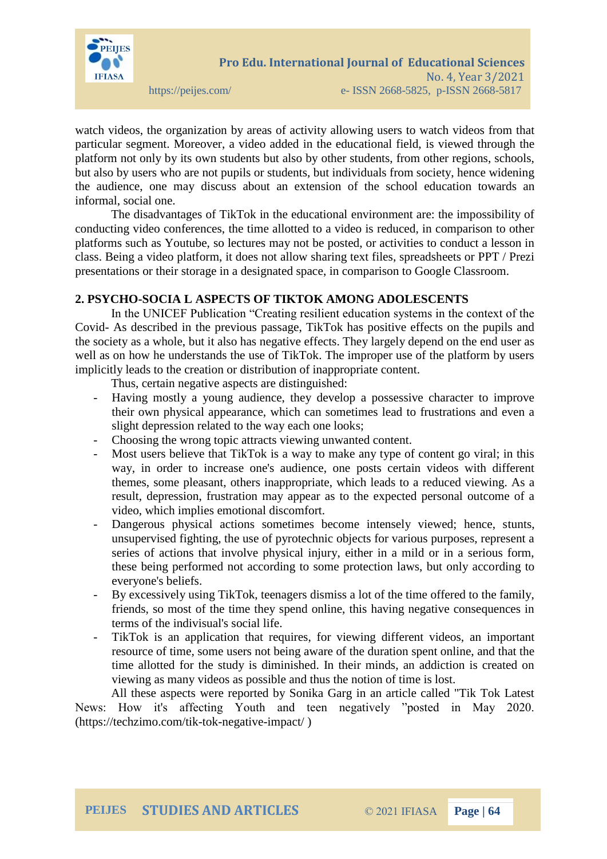

watch videos, the organization by areas of activity allowing users to watch videos from that particular segment. Moreover, a video added in the educational field, is viewed through the platform not only by its own students but also by other students, from other regions, schools, but also by users who are not pupils or students, but individuals from society, hence widening the audience, one may discuss about an extension of the school education towards an informal, social one.

The disadvantages of TikTok in the educational environment are: the impossibility of conducting video conferences, the time allotted to a video is reduced, in comparison to other platforms such as Youtube, so lectures may not be posted, or activities to conduct a lesson in class. Being a video platform, it does not allow sharing text files, spreadsheets or PPT / Prezi presentations or their storage in a designated space, in comparison to Google Classroom.

# **2. PSYCHO-SOCIA L ASPECTS OF TIKTOK AMONG ADOLESCENTS**

In the UNICEF Publication "Creating resilient education systems in the context of the Covid- As described in the previous passage, TikTok has positive effects on the pupils and the society as a whole, but it also has negative effects. They largely depend on the end user as well as on how he understands the use of TikTok. The improper use of the platform by users implicitly leads to the creation or distribution of inappropriate content.

Thus, certain negative aspects are distinguished:

- Having mostly a young audience, they develop a possessive character to improve their own physical appearance, which can sometimes lead to frustrations and even a slight depression related to the way each one looks;
- Choosing the wrong topic attracts viewing unwanted content.
- Most users believe that TikTok is a way to make any type of content go viral; in this way, in order to increase one's audience, one posts certain videos with different themes, some pleasant, others inappropriate, which leads to a reduced viewing. As a result, depression, frustration may appear as to the expected personal outcome of a video, which implies emotional discomfort.
- Dangerous physical actions sometimes become intensely viewed; hence, stunts, unsupervised fighting, the use of pyrotechnic objects for various purposes, represent a series of actions that involve physical injury, either in a mild or in a serious form, these being performed not according to some protection laws, but only according to everyone's beliefs.
- By excessively using TikTok, teenagers dismiss a lot of the time offered to the family, friends, so most of the time they spend online, this having negative consequences in terms of the indivisual's social life.
- TikTok is an application that requires, for viewing different videos, an important resource of time, some users not being aware of the duration spent online, and that the time allotted for the study is diminished. In their minds, an addiction is created on viewing as many videos as possible and thus the notion of time is lost.

All these aspects were reported by Sonika Garg in an article called "Tik Tok Latest News: How it's affecting Youth and teen negatively "posted in May 2020. [\(https://techzimo.com/tik-tok-negative-impact/](https://techzimo.com/tik-tok-negative-impact/) )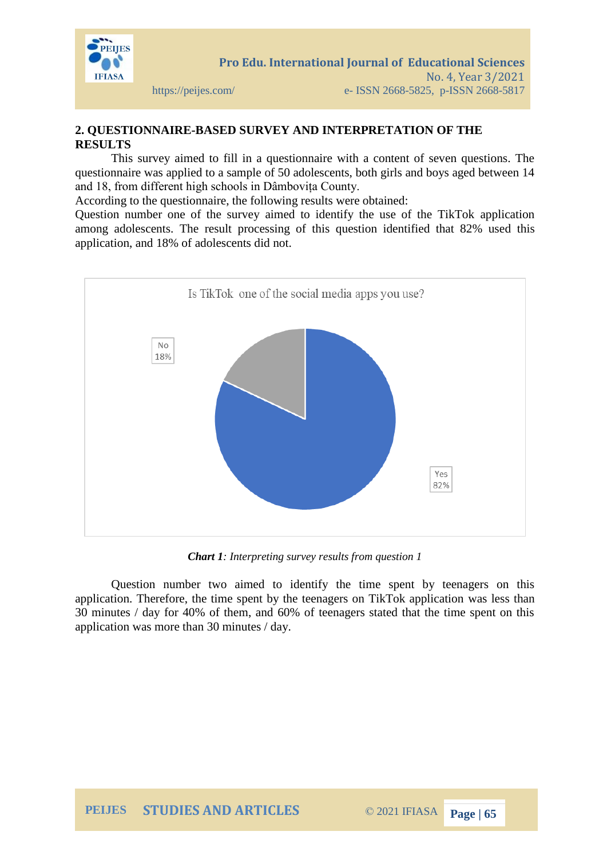

# **2. QUESTIONNAIRE-BASED SURVEY AND INTERPRETATION OF THE RESULTS**

This survey aimed to fill in a questionnaire with a content of seven questions. The questionnaire was applied to a sample of 50 adolescents, both girls and boys aged between 14 and 18, from different high schools in Dâmbovița County.

According to the questionnaire, the following results were obtained:

Question number one of the survey aimed to identify the use of the TikTok application among adolescents. The result processing of this question identified that 82% used this application, and 18% of adolescents did not.



*Chart 1: Interpreting survey results from question 1*

Question number two aimed to identify the time spent by teenagers on this application. Therefore, the time spent by the teenagers on TikTok application was less than 30 minutes / day for 40% of them, and 60% of teenagers stated that the time spent on this application was more than 30 minutes / day.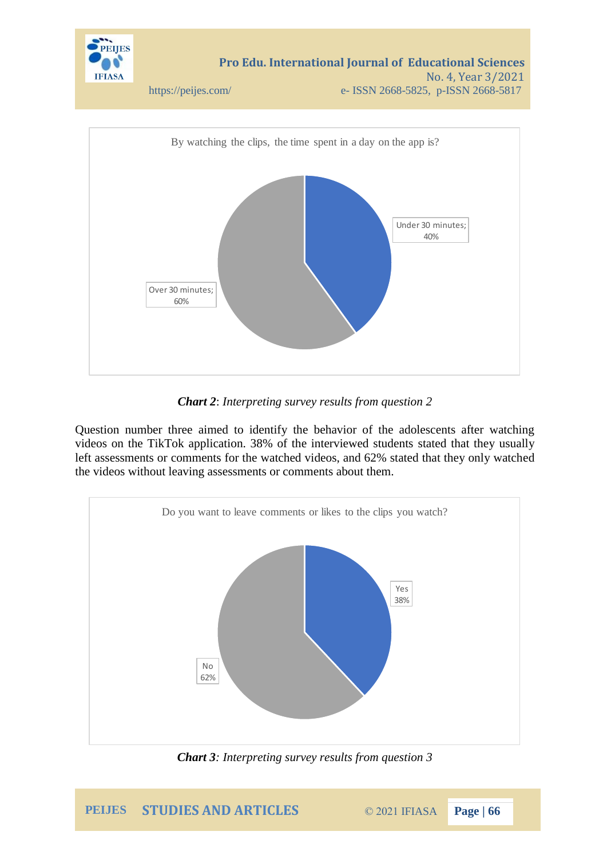

*Chart 2*: *Interpreting survey results from question 2*

Question number three aimed to identify the behavior of the adolescents after watching videos on the TikTok application. 38% of the interviewed students stated that they usually left assessments or comments for the watched videos, and 62% stated that they only watched the videos without leaving assessments or comments about them.



*Chart 3: Interpreting survey results from question 3*

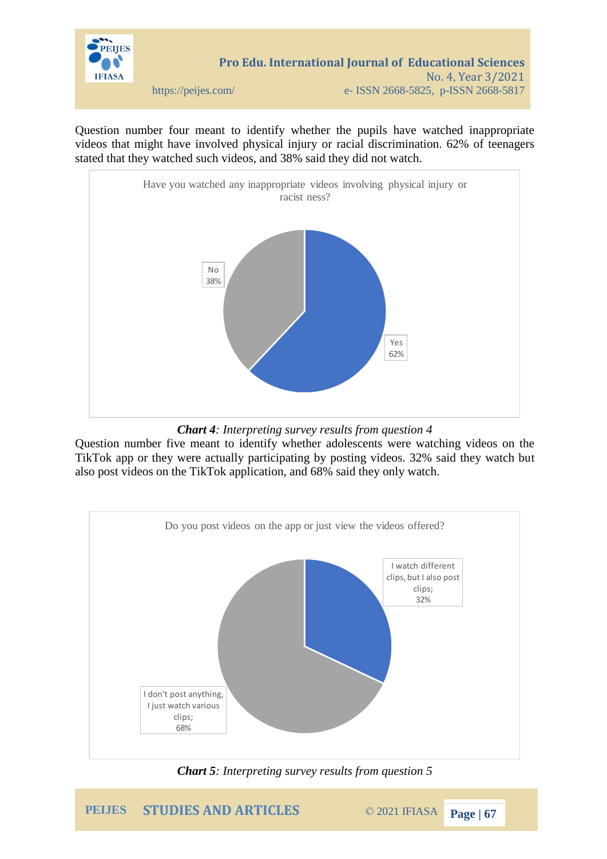

Question number four meant to identify whether the pupils have watched inappropriate videos that might have involved physical injury or racial discrimination. 62% of teenagers stated that they watched such videos, and 38% said they did not watch.



*Chart 4: Interpreting survey results from question 4*

Question number five meant to identify whether adolescents were watching videos on the TikTok app or they were actually participating by posting videos. 32% said they watch but also post videos on the TikTok application, and 68% said they only watch.



*Chart 5: Interpreting survey results from question 5*

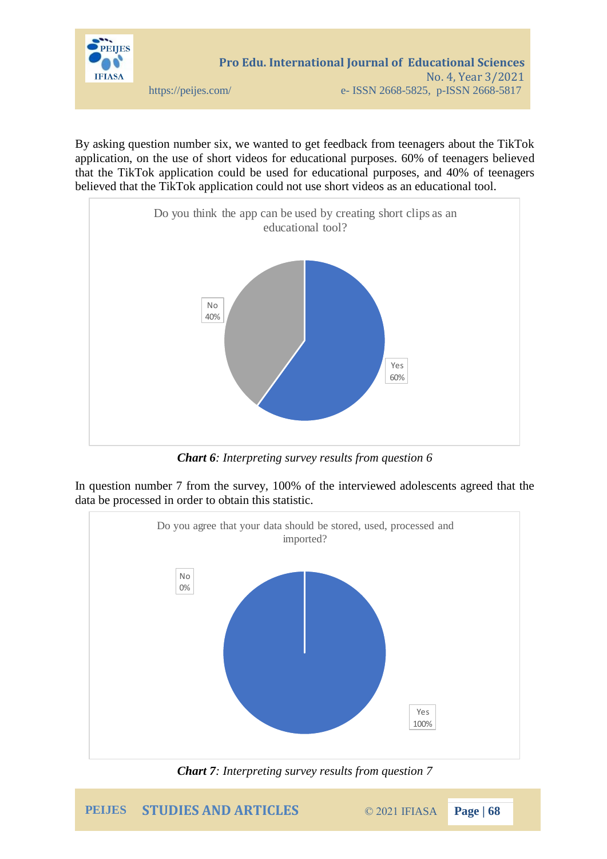

By asking question number six, we wanted to get feedback from teenagers about the TikTok application, on the use of short videos for educational purposes. 60% of teenagers believed that the TikTok application could be used for educational purposes, and 40% of teenagers believed that the TikTok application could not use short videos as an educational tool.



*Chart 6: Interpreting survey results from question 6*

In question number 7 from the survey, 100% of the interviewed adolescents agreed that the data be processed in order to obtain this statistic.



*Chart 7: Interpreting survey results from question 7*

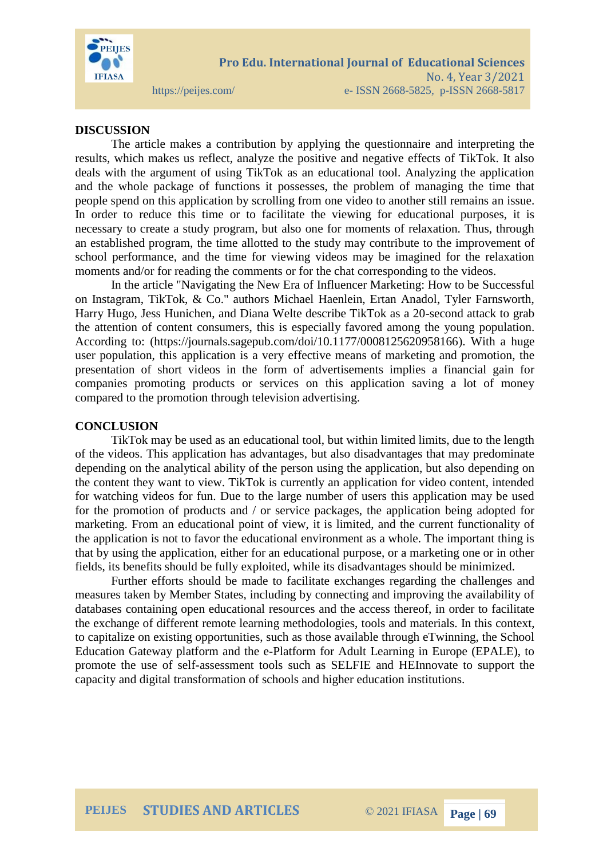

# **DISCUSSION**

The article makes a contribution by applying the questionnaire and interpreting the results, which makes us reflect, analyze the positive and negative effects of TikTok. It also deals with the argument of using TikTok as an educational tool. Analyzing the application and the whole package of functions it possesses, the problem of managing the time that people spend on this application by scrolling from one video to another still remains an issue. In order to reduce this time or to facilitate the viewing for educational purposes, it is necessary to create a study program, but also one for moments of relaxation. Thus, through an established program, the time allotted to the study may contribute to the improvement of school performance, and the time for viewing videos may be imagined for the relaxation moments and/or for reading the comments or for the chat corresponding to the videos.

In the article "Navigating the New Era of Influencer Marketing: How to be Successful on Instagram, TikTok, & Co." authors Michael Haenlein, Ertan Anadol, Tyler Farnsworth, Harry Hugo, Jess Hunichen, and Diana Welte describe TikTok as a 20-second attack to grab the attention of content consumers, this is especially favored among the young population. According to: [\(https://journals.sagepub.com/doi/10.1177/0008125620958166\)](https://journals.sagepub.com/doi/10.1177/0008125620958166). With a huge user population, this application is a very effective means of marketing and promotion, the presentation of short videos in the form of advertisements implies a financial gain for companies promoting products or services on this application saving a lot of money compared to the promotion through television advertising.

### **CONCLUSION**

TikTok may be used as an educational tool, but within limited limits, due to the length of the videos. This application has advantages, but also disadvantages that may predominate depending on the analytical ability of the person using the application, but also depending on the content they want to view. TikTok is currently an application for video content, intended for watching videos for fun. Due to the large number of users this application may be used for the promotion of products and / or service packages, the application being adopted for marketing. From an educational point of view, it is limited, and the current functionality of the application is not to favor the educational environment as a whole. The important thing is that by using the application, either for an educational purpose, or a marketing one or in other fields, its benefits should be fully exploited, while its disadvantages should be minimized.

Further efforts should be made to facilitate exchanges regarding the challenges and measures taken by Member States, including by connecting and improving the availability of databases containing open educational resources and the access thereof, in order to facilitate the exchange of different remote learning methodologies, tools and materials. In this context, to capitalize on existing opportunities, such as those available through eTwinning, the School Education Gateway platform and the e-Platform for Adult Learning in Europe (EPALE), to promote the use of self-assessment tools such as SELFIE and HEInnovate to support the capacity and digital transformation of schools and higher education institutions.